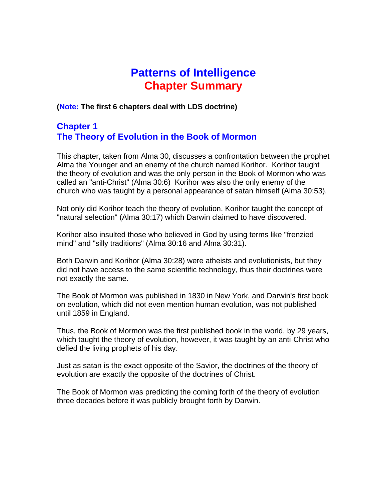# **Patterns of Intelligence Chapter Summary**

**(Note: The first 6 chapters deal with LDS doctrine)** 

# **Chapter 1 The Theory of Evolution in the Book of Mormon**

This chapter, taken from Alma 30, discusses a confrontation between the prophet Alma the Younger and an enemy of the church named Korihor. Korihor taught the theory of evolution and was the only person in the Book of Mormon who was called an "anti-Christ" (Alma 30:6) Korihor was also the only enemy of the church who was taught by a personal appearance of satan himself (Alma 30:53).

Not only did Korihor teach the theory of evolution, Korihor taught the concept of "natural selection" (Alma 30:17) which Darwin claimed to have discovered.

Korihor also insulted those who believed in God by using terms like "frenzied mind" and "silly traditions" (Alma 30:16 and Alma 30:31).

Both Darwin and Korihor (Alma 30:28) were atheists and evolutionists, but they did not have access to the same scientific technology, thus their doctrines were not exactly the same.

The Book of Mormon was published in 1830 in New York, and Darwin's first book on evolution, which did not even mention human evolution, was not published until 1859 in England.

Thus, the Book of Mormon was the first published book in the world, by 29 years, which taught the theory of evolution, however, it was taught by an anti-Christ who defied the living prophets of his day.

Just as satan is the exact opposite of the Savior, the doctrines of the theory of evolution are exactly the opposite of the doctrines of Christ.

The Book of Mormon was predicting the coming forth of the theory of evolution three decades before it was publicly brought forth by Darwin.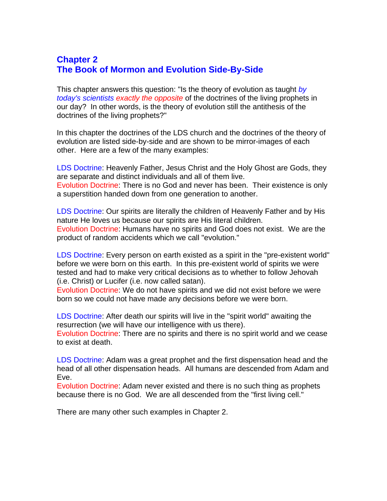# **Chapter 2 The Book of Mormon and Evolution Side-By-Side**

This chapter answers this question: "Is the theory of evolution as taught *by today's scientists exactly the opposite* of the doctrines of the living prophets in our day? In other words, is the theory of evolution still the antithesis of the doctrines of the living prophets?"

In this chapter the doctrines of the LDS church and the doctrines of the theory of evolution are listed side-by-side and are shown to be mirror-images of each other. Here are a few of the many examples:

LDS Doctrine: Heavenly Father, Jesus Christ and the Holy Ghost are Gods, they are separate and distinct individuals and all of them live. Evolution Doctrine: There is no God and never has been. Their existence is only a superstition handed down from one generation to another.

LDS Doctrine: Our spirits are literally the children of Heavenly Father and by His nature He loves us because our spirits are His literal children. Evolution Doctrine: Humans have no spirits and God does not exist. We are the product of random accidents which we call "evolution."

LDS Doctrine: Every person on earth existed as a spirit in the "pre-existent world" before we were born on this earth. In this pre-existent world of spirits we were tested and had to make very critical decisions as to whether to follow Jehovah (i.e. Christ) or Lucifer (i.e. now called satan).

Evolution Doctrine: We do not have spirits and we did not exist before we were born so we could not have made any decisions before we were born.

LDS Doctrine: After death our spirits will live in the "spirit world" awaiting the resurrection (we will have our intelligence with us there).

Evolution Doctrine: There are no spirits and there is no spirit world and we cease to exist at death.

LDS Doctrine: Adam was a great prophet and the first dispensation head and the head of all other dispensation heads. All humans are descended from Adam and Eve.

Evolution Doctrine: Adam never existed and there is no such thing as prophets because there is no God. We are all descended from the "first living cell."

There are many other such examples in Chapter 2.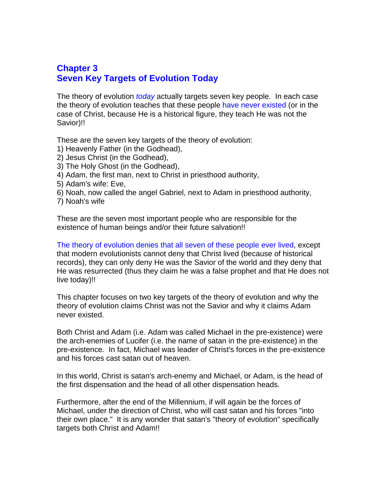## **Chapter 3 Seven Key Targets of Evolution Today**

The theory of evolution *today* actually targets seven key people. In each case the theory of evolution teaches that these people have never existed (or in the case of Christ, because He is a historical figure, they teach He was not the Savior)!!

These are the seven key targets of the theory of evolution:

- 1) Heavenly Father (in the Godhead),
- 2) Jesus Christ (in the Godhead),
- 3) The Holy Ghost (in the Godhead),
- 4) Adam, the first man, next to Christ in priesthood authority,
- 5) Adam's wife: Eve,
- 6) Noah, now called the angel Gabriel, next to Adam in priesthood authority,
- 7) Noah's wife

These are the seven most important people who are responsible for the existence of human beings and/or their future salvation!!

The theory of evolution denies that all seven of these people ever lived, except that modern evolutionists cannot deny that Christ lived (because of historical records), they can only deny He was the Savior of the world and they deny that He was resurrected (thus they claim he was a false prophet and that He does not live today)!!

This chapter focuses on two key targets of the theory of evolution and why the theory of evolution claims Christ was not the Savior and why it claims Adam never existed.

Both Christ and Adam (i.e. Adam was called Michael in the pre-existence) were the arch-enemies of Lucifer (i.e. the name of satan in the pre-existence) in the pre-existence. In fact, Michael was leader of Christ's forces in the pre-existence and his forces cast satan out of heaven.

In this world, Christ is satan's arch-enemy and Michael, or Adam, is the head of the first dispensation and the head of all other dispensation heads.

Furthermore, after the end of the Millennium, if will again be the forces of Michael, under the direction of Christ, who will cast satan and his forces "into their own place." It is any wonder that satan's "theory of evolution" specifically targets both Christ and Adam!!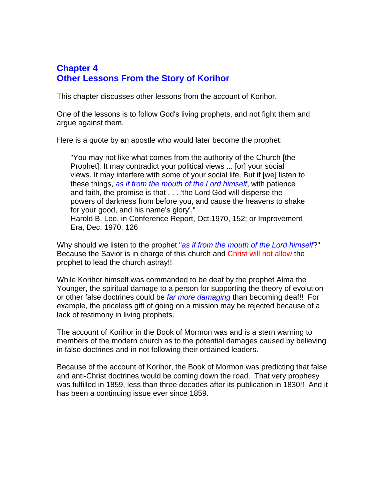# **Chapter 4 Other Lessons From the Story of Korihor**

This chapter discusses other lessons from the account of Korihor.

One of the lessons is to follow God's living prophets, and not fight them and argue against them.

Here is a quote by an apostle who would later become the prophet:

"You may not like what comes from the authority of the Church [the Prophet]. It may contradict your political views ... [or] your social views. It may interfere with some of your social life. But if [we] listen to these things, *as if from the mouth of the Lord himself*, with patience and faith, the promise is that . . . 'the Lord God will disperse the powers of darkness from before you, and cause the heavens to shake for your good, and his name's glory'." Harold B. Lee, in Conference Report, Oct.1970, 152; or Improvement Era, Dec. 1970, 126

Why should we listen to the prophet "*as if from the mouth of the Lord himself*?" Because the Savior is in charge of this church and Christ will not allow the prophet to lead the church astray!!

While Korihor himself was commanded to be deaf by the prophet Alma the Younger, the spiritual damage to a person for supporting the theory of evolution or other false doctrines could be *far more damaging* than becoming deaf!! For example, the priceless gift of going on a mission may be rejected because of a lack of testimony in living prophets.

The account of Korihor in the Book of Mormon was and is a stern warning to members of the modern church as to the potential damages caused by believing in false doctrines and in not following their ordained leaders.

Because of the account of Korihor, the Book of Mormon was predicting that false and anti-Christ doctrines would be coming down the road. That very prophesy was fulfilled in 1859, less than three decades after its publication in 1830!! And it has been a continuing issue ever since 1859.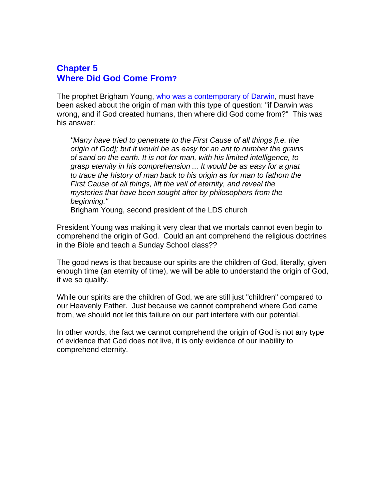#### **Chapter 5 Where Did God Come From?**

The prophet Brigham Young, who was a contemporary of Darwin, must have been asked about the origin of man with this type of question: "if Darwin was wrong, and if God created humans, then where did God come from?" This was his answer:

*"Many have tried to penetrate to the First Cause of all things [i.e. the origin of God]; but it would be as easy for an ant to number the grains of sand on the earth. It is not for man, with his limited intelligence, to grasp eternity in his comprehension ... It would be as easy for a gnat to trace the history of man back to his origin as for man to fathom the First Cause of all things, lift the veil of eternity, and reveal the mysteries that have been sought after by philosophers from the beginning."* 

Brigham Young, second president of the LDS church

President Young was making it very clear that we mortals cannot even begin to comprehend the origin of God. Could an ant comprehend the religious doctrines in the Bible and teach a Sunday School class??

The good news is that because our spirits are the children of God, literally, given enough time (an eternity of time), we will be able to understand the origin of God, if we so qualify.

While our spirits are the children of God, we are still just "children" compared to our Heavenly Father. Just because we cannot comprehend where God came from, we should not let this failure on our part interfere with our potential.

In other words, the fact we cannot comprehend the origin of God is not any type of evidence that God does not live, it is only evidence of our inability to comprehend eternity.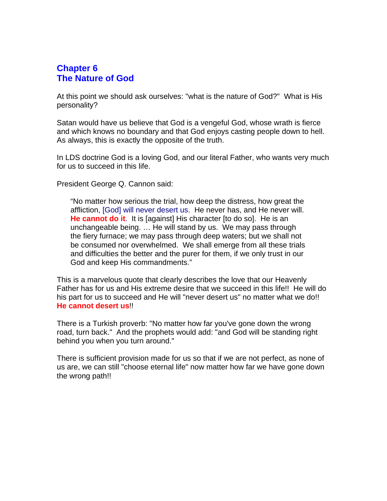#### **Chapter 6 The Nature of God**

At this point we should ask ourselves: "what is the nature of God?" What is His personality?

Satan would have us believe that God is a vengeful God, whose wrath is fierce and which knows no boundary and that God enjoys casting people down to hell. As always, this is exactly the opposite of the truth.

In LDS doctrine God is a loving God, and our literal Father, who wants very much for us to succeed in this life.

President George Q. Cannon said:

"No matter how serious the trial, how deep the distress, how great the affliction, [God] will never desert us. He never has, and He never will. **He cannot do it**. It is [against] His character [to do so]. He is an unchangeable being. … He will stand by us. We may pass through the fiery furnace; we may pass through deep waters; but we shall not be consumed nor overwhelmed. We shall emerge from all these trials and difficulties the better and the purer for them, if we only trust in our God and keep His commandments."

This is a marvelous quote that clearly describes the love that our Heavenly Father has for us and His extreme desire that we succeed in this life!! He will do his part for us to succeed and He will "never desert us" no matter what we do!! **He cannot desert us**!!

There is a Turkish proverb: "No matter how far you've gone down the wrong road, turn back." And the prophets would add: "and God will be standing right behind you when you turn around."

There is sufficient provision made for us so that if we are not perfect, as none of us are, we can still "choose eternal life" now matter how far we have gone down the wrong path!!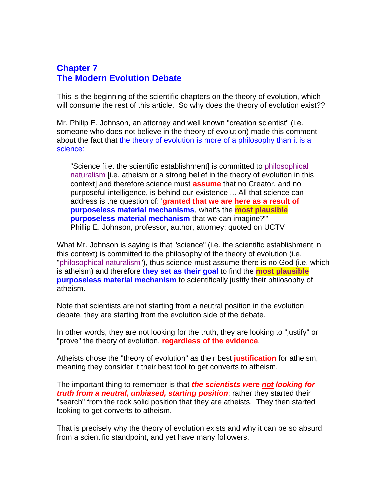## **Chapter 7 The Modern Evolution Debate**

This is the beginning of the scientific chapters on the theory of evolution, which will consume the rest of this article. So why does the theory of evolution exist??

Mr. Philip E. Johnson, an attorney and well known "creation scientist" (i.e. someone who does not believe in the theory of evolution) made this comment about the fact that the theory of evolution is more of a philosophy than it is a science:

"Science [i.e. the scientific establishment] is committed to philosophical naturalism [i.e. atheism or a strong belief in the theory of evolution in this context] and therefore science must **assume** that no Creator, and no purposeful intelligence, is behind our existence ... All that science can address is the question of: '**granted that we are here as a result of purposeless material mechanisms**, what's the **most plausible purposeless material mechanism** that we can imagine?'" Phillip E. Johnson, professor, author, attorney; quoted on UCTV

What Mr. Johnson is saying is that "science" (i.e. the scientific establishment in this context) is committed to the philosophy of the theory of evolution (i.e. "philosophical naturalism"), thus science must assume there is no God (i.e. which is atheism) and therefore **they set as their goal** to find the **most plausible purposeless material mechanism** to scientifically justify their philosophy of atheism.

Note that scientists are not starting from a neutral position in the evolution debate, they are starting from the evolution side of the debate.

In other words, they are not looking for the truth, they are looking to "justify" or "prove" the theory of evolution, **regardless of the evidence**.

Atheists chose the "theory of evolution" as their best **justification** for atheism, meaning they consider it their best tool to get converts to atheism.

The important thing to remember is that *the scientists were not looking for truth from a neutral, unbiased, starting position*; rather they started their "search" from the rock solid position that they are atheists. They then started looking to get converts to atheism.

That is precisely why the theory of evolution exists and why it can be so absurd from a scientific standpoint, and yet have many followers.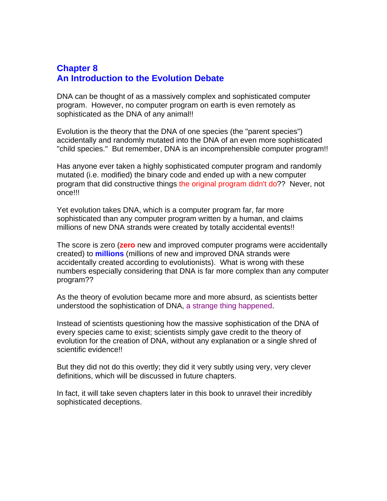## **Chapter 8 An Introduction to the Evolution Debate**

DNA can be thought of as a massively complex and sophisticated computer program. However, no computer program on earth is even remotely as sophisticated as the DNA of any animal!!

Evolution is the theory that the DNA of one species (the "parent species") accidentally and randomly mutated into the DNA of an even more sophisticated "child species." But remember, DNA is an incomprehensible computer program!!

Has anyone ever taken a highly sophisticated computer program and randomly mutated (i.e. modified) the binary code and ended up with a new computer program that did constructive things the original program didn't do?? Never, not once!!!

Yet evolution takes DNA, which is a computer program far, far more sophisticated than any computer program written by a human, and claims millions of new DNA strands were created by totally accidental events!!

The score is zero (**zero** new and improved computer programs were accidentally created) to **millions** (millions of new and improved DNA strands were accidentally created according to evolutionists). What is wrong with these numbers especially considering that DNA is far more complex than any computer program??

As the theory of evolution became more and more absurd, as scientists better understood the sophistication of DNA, a strange thing happened.

Instead of scientists questioning how the massive sophistication of the DNA of every species came to exist; scientists simply gave credit to the theory of evolution for the creation of DNA, without any explanation or a single shred of scientific evidence!!

But they did not do this overtly; they did it very subtly using very, very clever definitions, which will be discussed in future chapters.

In fact, it will take seven chapters later in this book to unravel their incredibly sophisticated deceptions.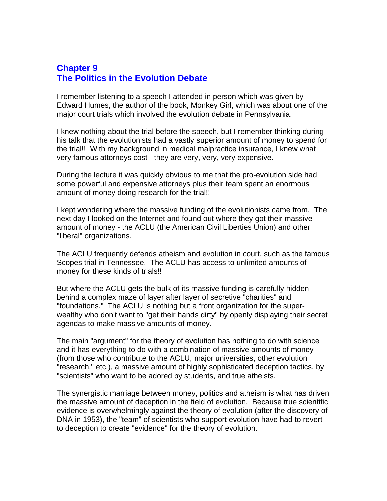#### **Chapter 9 The Politics in the Evolution Debate**

I remember listening to a speech I attended in person which was given by Edward Humes, the author of the book, Monkey Girl, which was about one of the major court trials which involved the evolution debate in Pennsylvania.

I knew nothing about the trial before the speech, but I remember thinking during his talk that the evolutionists had a vastly superior amount of money to spend for the trial!! With my background in medical malpractice insurance, I knew what very famous attorneys cost - they are very, very, very expensive.

During the lecture it was quickly obvious to me that the pro-evolution side had some powerful and expensive attorneys plus their team spent an enormous amount of money doing research for the trial!!

I kept wondering where the massive funding of the evolutionists came from. The next day I looked on the Internet and found out where they got their massive amount of money - the ACLU (the American Civil Liberties Union) and other "liberal" organizations.

The ACLU frequently defends atheism and evolution in court, such as the famous Scopes trial in Tennessee. The ACLU has access to unlimited amounts of money for these kinds of trials!!

But where the ACLU gets the bulk of its massive funding is carefully hidden behind a complex maze of layer after layer of secretive "charities" and "foundations." The ACLU is nothing but a front organization for the superwealthy who don't want to "get their hands dirty" by openly displaying their secret agendas to make massive amounts of money.

The main "argument" for the theory of evolution has nothing to do with science and it has everything to do with a combination of massive amounts of money (from those who contribute to the ACLU, major universities, other evolution "research," etc.), a massive amount of highly sophisticated deception tactics, by "scientists" who want to be adored by students, and true atheists.

The synergistic marriage between money, politics and atheism is what has driven the massive amount of deception in the field of evolution. Because true scientific evidence is overwhelmingly against the theory of evolution (after the discovery of DNA in 1953), the "team" of scientists who support evolution have had to revert to deception to create "evidence" for the theory of evolution.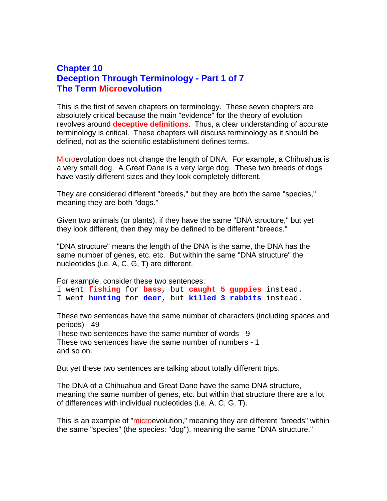#### **Chapter 10 Deception Through Terminology - Part 1 of 7 The Term Microevolution**

This is the first of seven chapters on terminology. These seven chapters are absolutely critical because the main "evidence" for the theory of evolution revolves around **deceptive definitions**. Thus, a clear understanding of accurate terminology is critical. These chapters will discuss terminology as it should be defined, not as the scientific establishment defines terms.

Microevolution does not change the length of DNA. For example, a Chihuahua is a very small dog. A Great Dane is a very large dog. These two breeds of dogs have vastly different sizes and they look completely different.

They are considered different "breeds," but they are both the same "species," meaning they are both "dogs."

Given two animals (or plants), if they have the same "DNA structure," but yet they look different, then they may be defined to be different "breeds."

"DNA structure" means the length of the DNA is the same, the DNA has the same number of genes, etc. etc. But within the same "DNA structure" the nucleotides (i.e. A, C, G, T) are different.

For example, consider these two sentences:

I went **fishing** for **bass**, but **caught 5 guppies** instead. I went **hunting** for **deer**, but **killed 3 rabbits** instead.

These two sentences have the same number of characters (including spaces and periods) - 49

These two sentences have the same number of words - 9 These two sentences have the same number of numbers - 1 and so on.

But yet these two sentences are talking about totally different trips.

The DNA of a Chihuahua and Great Dane have the same DNA structure, meaning the same number of genes, etc. but within that structure there are a lot of differences with individual nucleotides (i.e. A, C, G, T).

This is an example of "microevolution," meaning they are different "breeds" within the same "species" (the species: "dog"), meaning the same "DNA structure."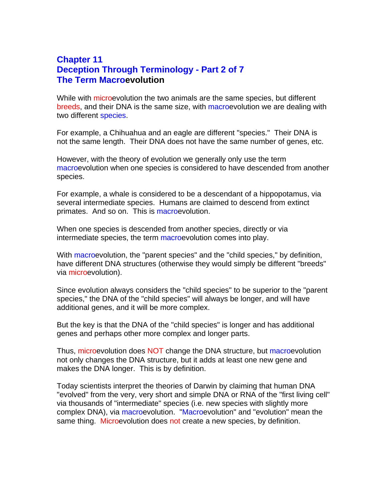## **Chapter 11 Deception Through Terminology - Part 2 of 7 The Term Macroevolution**

While with microevolution the two animals are the same species, but different breeds, and their DNA is the same size, with macroevolution we are dealing with two different species.

For example, a Chihuahua and an eagle are different "species." Their DNA is not the same length. Their DNA does not have the same number of genes, etc.

However, with the theory of evolution we generally only use the term macroevolution when one species is considered to have descended from another species.

For example, a whale is considered to be a descendant of a hippopotamus, via several intermediate species. Humans are claimed to descend from extinct primates. And so on. This is macroevolution.

When one species is descended from another species, directly or via intermediate species, the term macroevolution comes into play.

With macroevolution, the "parent species" and the "child species," by definition, have different DNA structures (otherwise they would simply be different "breeds" via microevolution).

Since evolution always considers the "child species" to be superior to the "parent species," the DNA of the "child species" will always be longer, and will have additional genes, and it will be more complex.

But the key is that the DNA of the "child species" is longer and has additional genes and perhaps other more complex and longer parts.

Thus, microevolution does NOT change the DNA structure, but macroevolution not only changes the DNA structure, but it adds at least one new gene and makes the DNA longer. This is by definition.

Today scientists interpret the theories of Darwin by claiming that human DNA "evolved" from the very, very short and simple DNA or RNA of the "first living cell" via thousands of "intermediate" species (i.e. new species with slightly more complex DNA), via macroevolution. "Macroevolution" and "evolution" mean the same thing. Microevolution does not create a new species, by definition.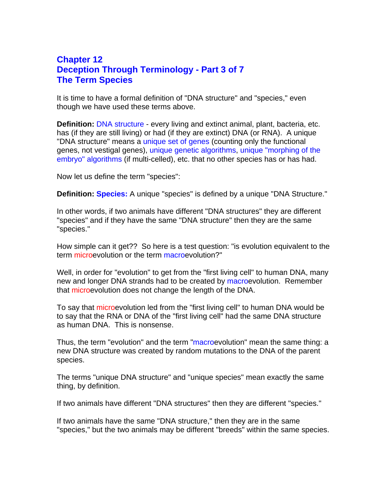#### **Chapter 12 Deception Through Terminology - Part 3 of 7 The Term Species**

It is time to have a formal definition of "DNA structure" and "species," even though we have used these terms above.

**Definition:** DNA structure - every living and extinct animal, plant, bacteria, etc. has (if they are still living) or had (if they are extinct) DNA (or RNA). A unique "DNA structure" means a unique set of genes (counting only the functional genes, not vestigal genes), unique genetic algorithms, unique "morphing of the embryo" algorithms (if multi-celled), etc. that no other species has or has had.

Now let us define the term "species":

**Definition: Species:** A unique "species" is defined by a unique "DNA Structure."

In other words, if two animals have different "DNA structures" they are different "species" and if they have the same "DNA structure" then they are the same "species."

How simple can it get?? So here is a test question: "is evolution equivalent to the term microevolution or the term macroevolution?"

Well, in order for "evolution" to get from the "first living cell" to human DNA, many new and longer DNA strands had to be created by macroevolution. Remember that microevolution does not change the length of the DNA.

To say that microevolution led from the "first living cell" to human DNA would be to say that the RNA or DNA of the "first living cell" had the same DNA structure as human DNA. This is nonsense.

Thus, the term "evolution" and the term "macroevolution" mean the same thing: a new DNA structure was created by random mutations to the DNA of the parent species.

The terms "unique DNA structure" and "unique species" mean exactly the same thing, by definition.

If two animals have different "DNA structures" then they are different "species."

If two animals have the same "DNA structure," then they are in the same "species," but the two animals may be different "breeds" within the same species.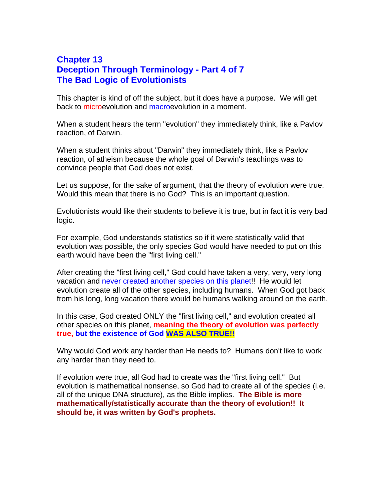#### **Chapter 13 Deception Through Terminology - Part 4 of 7 The Bad Logic of Evolutionists**

This chapter is kind of off the subject, but it does have a purpose. We will get back to microevolution and macroevolution in a moment.

When a student hears the term "evolution" they immediately think, like a Pavlov reaction, of Darwin.

When a student thinks about "Darwin" they immediately think, like a Pavlov reaction, of atheism because the whole goal of Darwin's teachings was to convince people that God does not exist.

Let us suppose, for the sake of argument, that the theory of evolution were true. Would this mean that there is no God? This is an important question.

Evolutionists would like their students to believe it is true, but in fact it is very bad logic.

For example, God understands statistics so if it were statistically valid that evolution was possible, the only species God would have needed to put on this earth would have been the "first living cell."

After creating the "first living cell," God could have taken a very, very, very long vacation and never created another species on this planet!! He would let evolution create all of the other species, including humans. When God got back from his long, long vacation there would be humans walking around on the earth.

In this case, God created ONLY the "first living cell," and evolution created all other species on this planet, **meaning the theory of evolution was perfectly true, but the existence of God WAS ALSO TRUE!!**

Why would God work any harder than He needs to? Humans don't like to work any harder than they need to.

If evolution were true, all God had to create was the "first living cell." But evolution is mathematical nonsense, so God had to create all of the species (i.e. all of the unique DNA structure), as the Bible implies. **The Bible is more mathematically/statistically accurate than the theory of evolution!! It should be, it was written by God's prophets.**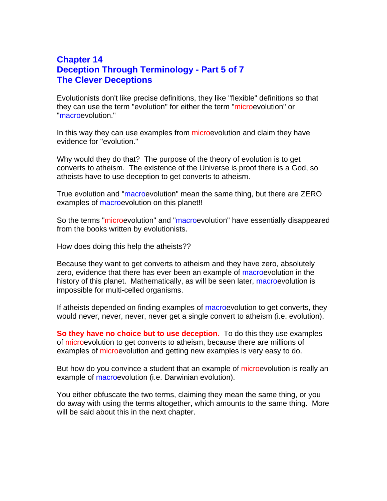#### **Chapter 14 Deception Through Terminology - Part 5 of 7 The Clever Deceptions**

Evolutionists don't like precise definitions, they like "flexible" definitions so that they can use the term "evolution" for either the term "microevolution" or "macroevolution."

In this way they can use examples from microevolution and claim they have evidence for "evolution."

Why would they do that? The purpose of the theory of evolution is to get converts to atheism. The existence of the Universe is proof there is a God, so atheists have to use deception to get converts to atheism.

True evolution and "macroevolution" mean the same thing, but there are ZERO examples of macroevolution on this planet!!

So the terms "microevolution" and "macroevolution" have essentially disappeared from the books written by evolutionists.

How does doing this help the atheists??

Because they want to get converts to atheism and they have zero, absolutely zero, evidence that there has ever been an example of macroevolution in the history of this planet. Mathematically, as will be seen later, macroevolution is impossible for multi-celled organisms.

If atheists depended on finding examples of macroevolution to get converts, they would never, never, never, never get a single convert to atheism (i.e. evolution).

**So they have no choice but to use deception.** To do this they use examples of microevolution to get converts to atheism, because there are millions of examples of microevolution and getting new examples is very easy to do.

But how do you convince a student that an example of microevolution is really an example of macroevolution (i.e. Darwinian evolution).

You either obfuscate the two terms, claiming they mean the same thing, or you do away with using the terms altogether, which amounts to the same thing. More will be said about this in the next chapter.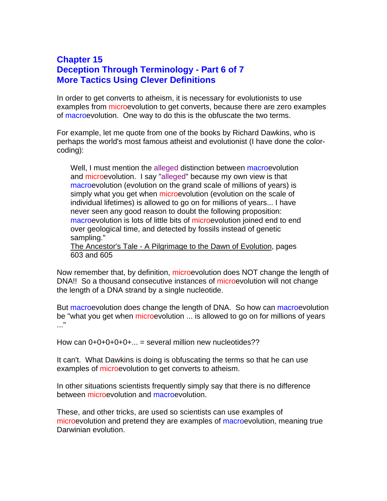#### **Chapter 15 Deception Through Terminology - Part 6 of 7 More Tactics Using Clever Definitions**

In order to get converts to atheism, it is necessary for evolutionists to use examples from microevolution to get converts, because there are zero examples of macroevolution. One way to do this is the obfuscate the two terms.

For example, let me quote from one of the books by Richard Dawkins, who is perhaps the world's most famous atheist and evolutionist (I have done the colorcoding):

Well, I must mention the alleged distinction between macroevolution and microevolution. I say "alleged" because my own view is that macroevolution (evolution on the grand scale of millions of years) is simply what you get when microevolution (evolution on the scale of individual lifetimes) is allowed to go on for millions of years... I have never seen any good reason to doubt the following proposition: macroevolution is lots of little bits of microevolution joined end to end over geological time, and detected by fossils instead of genetic sampling."

The Ancestor's Tale - A Pilgrimage to the Dawn of Evolution, pages 603 and 605

Now remember that, by definition, microevolution does NOT change the length of DNA!! So a thousand consecutive instances of microevolution will not change the length of a DNA strand by a single nucleotide.

But macroevolution does change the length of DNA. So how can macroevolution be "what you get when microevolution ... is allowed to go on for millions of years  $\mathbf{r}$ 

How can  $0+0+0+0+0+...$  = several million new nucleotides??

It can't. What Dawkins is doing is obfuscating the terms so that he can use examples of microevolution to get converts to atheism.

In other situations scientists frequently simply say that there is no difference between microevolution and macroevolution.

These, and other tricks, are used so scientists can use examples of microevolution and pretend they are examples of macroevolution, meaning true Darwinian evolution.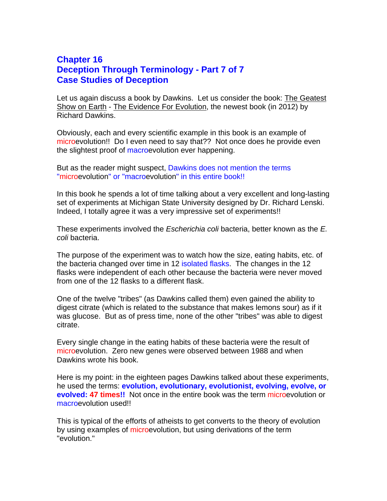## **Chapter 16 Deception Through Terminology - Part 7 of 7 Case Studies of Deception**

Let us again discuss a book by Dawkins. Let us consider the book: The Geatest Show on Earth - The Evidence For Evolution, the newest book (in 2012) by Richard Dawkins.

Obviously, each and every scientific example in this book is an example of microevolution!! Do I even need to say that?? Not once does he provide even the slightest proof of macroevolution ever happening.

But as the reader might suspect, Dawkins does not mention the terms "microevolution" or "macroevolution" in this entire book!!

In this book he spends a lot of time talking about a very excellent and long-lasting set of experiments at Michigan State University designed by Dr. Richard Lenski. Indeed, I totally agree it was a very impressive set of experiments!!

These experiments involved the *Escherichia coli* bacteria, better known as the *E. coli* bacteria.

The purpose of the experiment was to watch how the size, eating habits, etc. of the bacteria changed over time in 12 isolated flasks. The changes in the 12 flasks were independent of each other because the bacteria were never moved from one of the 12 flasks to a different flask.

One of the twelve "tribes" (as Dawkins called them) even gained the ability to digest citrate (which is related to the substance that makes lemons sour) as if it was glucose. But as of press time, none of the other "tribes" was able to digest citrate.

Every single change in the eating habits of these bacteria were the result of microevolution. Zero new genes were observed between 1988 and when Dawkins wrote his book.

Here is my point: in the eighteen pages Dawkins talked about these experiments, he used the terms: **evolution, evolutionary, evolutionist, evolving, evolve, or evolved: 47 times!!** Not once in the entire book was the term microevolution or macroevolution used!!

This is typical of the efforts of atheists to get converts to the theory of evolution by using examples of microevolution, but using derivations of the term "evolution."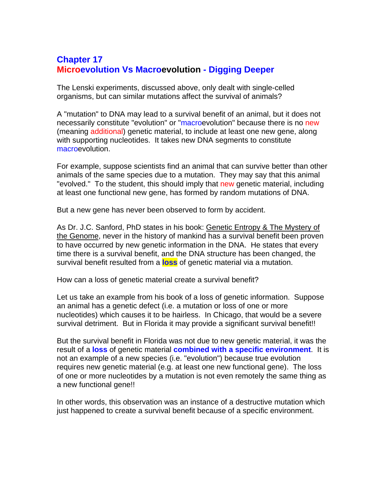# **Chapter 17 Microevolution Vs Macroevolution - Digging Deeper**

The Lenski experiments, discussed above, only dealt with single-celled organisms, but can similar mutations affect the survival of animals?

A "mutation" to DNA may lead to a survival benefit of an animal, but it does not necessarily constitute "evolution" or "macroevolution" because there is no new (meaning additional) genetic material, to include at least one new gene, along with supporting nucleotides. It takes new DNA segments to constitute macroevolution.

For example, suppose scientists find an animal that can survive better than other animals of the same species due to a mutation. They may say that this animal "evolved." To the student, this should imply that new genetic material, including at least one functional new gene, has formed by random mutations of DNA.

But a new gene has never been observed to form by accident.

As Dr. J.C. Sanford, PhD states in his book: Genetic Entropy & The Mystery of the Genome, never in the history of mankind has a survival benefit been proven to have occurred by new genetic information in the DNA. He states that every time there is a survival benefit, and the DNA structure has been changed, the survival benefit resulted from a **loss** of genetic material via a mutation.

How can a loss of genetic material create a survival benefit?

Let us take an example from his book of a loss of genetic information. Suppose an animal has a genetic defect (i.e. a mutation or loss of one or more nucleotides) which causes it to be hairless. In Chicago, that would be a severe survival detriment. But in Florida it may provide a significant survival benefit!!

But the survival benefit in Florida was not due to new genetic material, it was the result of a **loss** of genetic material **combined with a specific environment**. It is not an example of a new species (i.e. "evolution") because true evolution requires new genetic material (e.g. at least one new functional gene). The loss of one or more nucleotides by a mutation is not even remotely the same thing as a new functional gene!!

In other words, this observation was an instance of a destructive mutation which just happened to create a survival benefit because of a specific environment.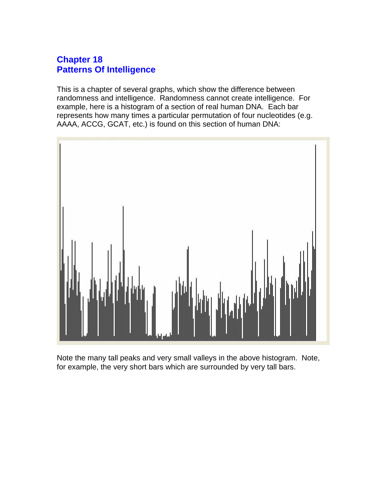# **Chapter 18 Patterns Of Intelligence**

This is a chapter of several graphs, which show the difference between randomness and intelligence. Randomness cannot create intelligence. For example, here is a histogram of a section of real human DNA. Each bar represents how many times a particular permutation of four nucleotides (e.g. AAAA, ACCG, GCAT, etc.) is found on this section of human DNA:



Note the many tall peaks and very small valleys in the above histogram. Note, for example, the very short bars which are surrounded by very tall bars.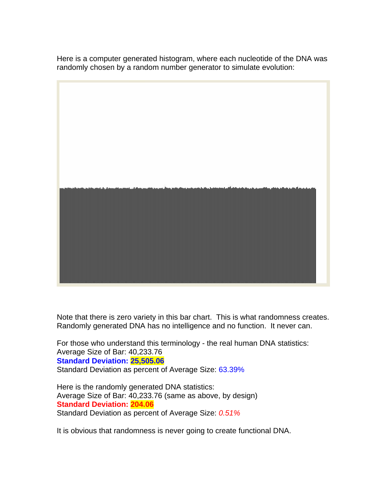Here is a computer generated histogram, where each nucleotide of the DNA was randomly chosen by a random number generator to simulate evolution:



Note that there is zero variety in this bar chart. This is what randomness creates. Randomly generated DNA has no intelligence and no function. It never can.

For those who understand this terminology - the real human DNA statistics: Average Size of Bar: 40,233.76 **Standard Deviation: 25,505.06**  Standard Deviation as percent of Average Size: 63.39%

Here is the randomly generated DNA statistics: Average Size of Bar: 40,233.76 (same as above, by design) **Standard Deviation: 204.06**  Standard Deviation as percent of Average Size: *0.51%*

It is obvious that randomness is never going to create functional DNA.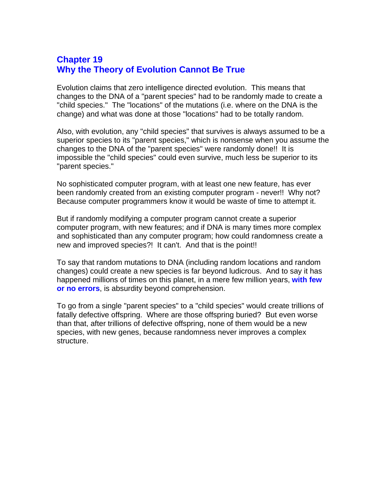## **Chapter 19 Why the Theory of Evolution Cannot Be True**

Evolution claims that zero intelligence directed evolution. This means that changes to the DNA of a "parent species" had to be randomly made to create a "child species." The "locations" of the mutations (i.e. where on the DNA is the change) and what was done at those "locations" had to be totally random.

Also, with evolution, any "child species" that survives is always assumed to be a superior species to its "parent species," which is nonsense when you assume the changes to the DNA of the "parent species" were randomly done!! It is impossible the "child species" could even survive, much less be superior to its "parent species."

No sophisticated computer program, with at least one new feature, has ever been randomly created from an existing computer program - never!! Why not? Because computer programmers know it would be waste of time to attempt it.

But if randomly modifying a computer program cannot create a superior computer program, with new features; and if DNA is many times more complex and sophisticated than any computer program; how could randomness create a new and improved species?! It can't. And that is the point!!

To say that random mutations to DNA (including random locations and random changes) could create a new species is far beyond ludicrous. And to say it has happened millions of times on this planet, in a mere few million years, **with few or no errors**, is absurdity beyond comprehension.

To go from a single "parent species" to a "child species" would create trillions of fatally defective offspring. Where are those offspring buried? But even worse than that, after trillions of defective offspring, none of them would be a new species, with new genes, because randomness never improves a complex structure.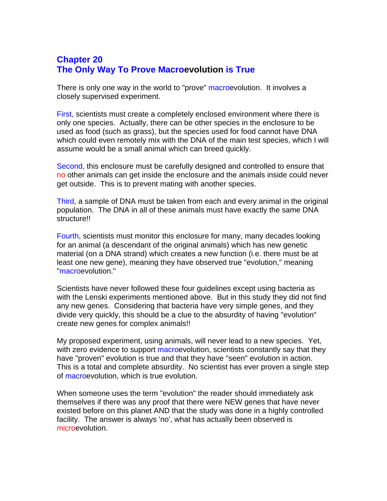# **Chapter 20 The Only Way To Prove Macroevolution is True**

There is only one way in the world to "prove" macroevolution. It involves a closely supervised experiment.

First, scientists must create a completely enclosed environment where there is only one species. Actually, there can be other species in the enclosure to be used as food (such as grass), but the species used for food cannot have DNA which could even remotely mix with the DNA of the main test species, which I will assume would be a small animal which can breed quickly.

Second, this enclosure must be carefully designed and controlled to ensure that no other animals can get inside the enclosure and the animals inside could never get outside. This is to prevent mating with another species.

Third, a sample of DNA must be taken from each and every animal in the original population. The DNA in all of these animals must have exactly the same DNA structure!!

Fourth, scientists must monitor this enclosure for many, many decades looking for an animal (a descendant of the original animals) which has new genetic material (on a DNA strand) which creates a new function (i.e. there must be at least one new gene), meaning they have observed true "evolution," meaning "macroevolution."

Scientists have never followed these four guidelines except using bacteria as with the Lenski experiments mentioned above. But in this study they did not find any new genes. Considering that bacteria have very simple genes, and they divide very quickly, this should be a clue to the absurdity of having "evolution" create new genes for complex animals!!

My proposed experiment, using animals, will never lead to a new species. Yet, with zero evidence to support macroevolution, scientists constantly say that they have "proven" evolution is true and that they have "seen" evolution in action. This is a total and complete absurdity. No scientist has ever proven a single step of macroevolution, which is true evolution.

When someone uses the term "evolution" the reader should immediately ask themselves if there was any proof that there were NEW genes that have never existed before on this planet AND that the study was done in a highly controlled facility. The answer is always 'no', what has actually been observed is microevolution.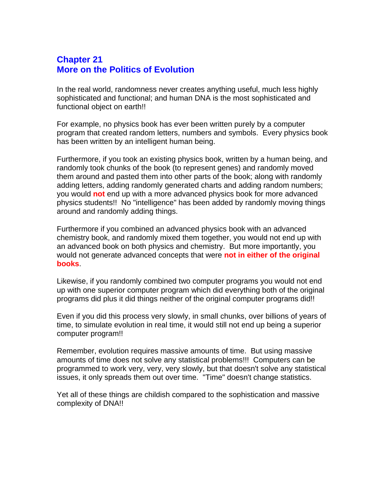## **Chapter 21 More on the Politics of Evolution**

In the real world, randomness never creates anything useful, much less highly sophisticated and functional; and human DNA is the most sophisticated and functional object on earth!!

For example, no physics book has ever been written purely by a computer program that created random letters, numbers and symbols. Every physics book has been written by an intelligent human being.

Furthermore, if you took an existing physics book, written by a human being, and randomly took chunks of the book (to represent genes) and randomly moved them around and pasted them into other parts of the book; along with randomly adding letters, adding randomly generated charts and adding random numbers; you would **not** end up with a more advanced physics book for more advanced physics students!! No "intelligence" has been added by randomly moving things around and randomly adding things.

Furthermore if you combined an advanced physics book with an advanced chemistry book, and randomly mixed them together, you would not end up with an advanced book on both physics and chemistry. But more importantly, you would not generate advanced concepts that were **not in either of the original books**.

Likewise, if you randomly combined two computer programs you would not end up with one superior computer program which did everything both of the original programs did plus it did things neither of the original computer programs did!!

Even if you did this process very slowly, in small chunks, over billions of years of time, to simulate evolution in real time, it would still not end up being a superior computer program!!

Remember, evolution requires massive amounts of time. But using massive amounts of time does not solve any statistical problems!!! Computers can be programmed to work very, very, very slowly, but that doesn't solve any statistical issues, it only spreads them out over time. "Time" doesn't change statistics.

Yet all of these things are childish compared to the sophistication and massive complexity of DNA!!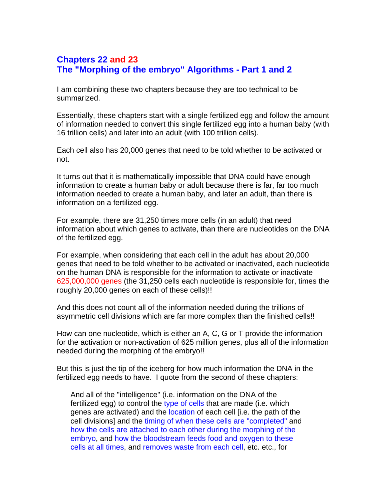# **Chapters 22 and 23 The "Morphing of the embryo" Algorithms - Part 1 and 2**

I am combining these two chapters because they are too technical to be summarized.

Essentially, these chapters start with a single fertilized egg and follow the amount of information needed to convert this single fertilized egg into a human baby (with 16 trillion cells) and later into an adult (with 100 trillion cells).

Each cell also has 20,000 genes that need to be told whether to be activated or not.

It turns out that it is mathematically impossible that DNA could have enough information to create a human baby or adult because there is far, far too much information needed to create a human baby, and later an adult, than there is information on a fertilized egg.

For example, there are 31,250 times more cells (in an adult) that need information about which genes to activate, than there are nucleotides on the DNA of the fertilized egg.

For example, when considering that each cell in the adult has about 20,000 genes that need to be told whether to be activated or inactivated, each nucleotide on the human DNA is responsible for the information to activate or inactivate 625,000,000 genes (the 31,250 cells each nucleotide is responsible for, times the roughly 20,000 genes on each of these cells)!!

And this does not count all of the information needed during the trillions of asymmetric cell divisions which are far more complex than the finished cells!!

How can one nucleotide, which is either an A, C, G or T provide the information for the activation or non-activation of 625 million genes, plus all of the information needed during the morphing of the embryo!!

But this is just the tip of the iceberg for how much information the DNA in the fertilized egg needs to have. I quote from the second of these chapters:

And all of the "intelligence" (i.e. information on the DNA of the fertilized egg) to control the type of cells that are made (i.e. which genes are activated) and the location of each cell [i.e. the path of the cell divisions] and the timing of when these cells are "completed" and how the cells are attached to each other during the morphing of the embryo, and how the bloodstream feeds food and oxygen to these cells at all times, and removes waste from each cell, etc. etc., for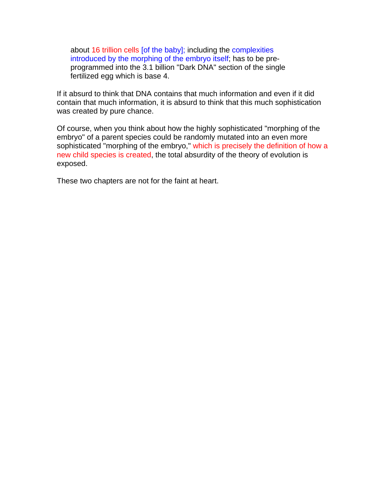about 16 trillion cells [of the baby]; including the complexities introduced by the morphing of the embryo itself; has to be preprogrammed into the 3.1 billion "Dark DNA" section of the single fertilized egg which is base 4.

If it absurd to think that DNA contains that much information and even if it did contain that much information, it is absurd to think that this much sophistication was created by pure chance.

Of course, when you think about how the highly sophisticated "morphing of the embryo" of a parent species could be randomly mutated into an even more sophisticated "morphing of the embryo," which is precisely the definition of how a new child species is created, the total absurdity of the theory of evolution is exposed.

These two chapters are not for the faint at heart.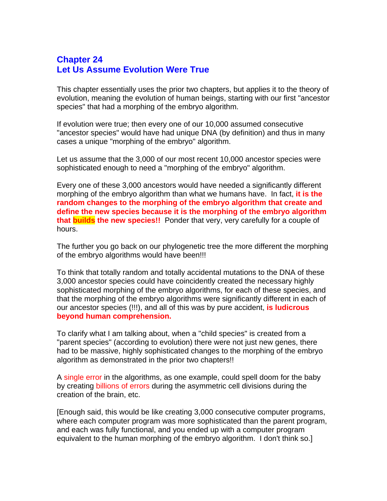## **Chapter 24 Let Us Assume Evolution Were True**

This chapter essentially uses the prior two chapters, but applies it to the theory of evolution, meaning the evolution of human beings, starting with our first "ancestor species" that had a morphing of the embryo algorithm.

If evolution were true; then every one of our 10,000 assumed consecutive "ancestor species" would have had unique DNA (by definition) and thus in many cases a unique "morphing of the embryo" algorithm.

Let us assume that the 3,000 of our most recent 10,000 ancestor species were sophisticated enough to need a "morphing of the embryo" algorithm.

Every one of these 3,000 ancestors would have needed a significantly different morphing of the embryo algorithm than what we humans have. In fact, **it is the random changes to the morphing of the embryo algorithm that create and define the new species because it is the morphing of the embryo algorithm that builds the new species!!** Ponder that very, very carefully for a couple of hours.

The further you go back on our phylogenetic tree the more different the morphing of the embryo algorithms would have been!!!

To think that totally random and totally accidental mutations to the DNA of these 3,000 ancestor species could have coincidently created the necessary highly sophisticated morphing of the embryo algorithms, for each of these species, and that the morphing of the embryo algorithms were significantly different in each of our ancestor species (!!!), and all of this was by pure accident, **is ludicrous beyond human comprehension.**

To clarify what I am talking about, when a "child species" is created from a "parent species" (according to evolution) there were not just new genes, there had to be massive, highly sophisticated changes to the morphing of the embryo algorithm as demonstrated in the prior two chapters!!

A single error in the algorithms, as one example, could spell doom for the baby by creating billions of errors during the asymmetric cell divisions during the creation of the brain, etc.

[Enough said, this would be like creating 3,000 consecutive computer programs, where each computer program was more sophisticated than the parent program, and each was fully functional, and you ended up with a computer program equivalent to the human morphing of the embryo algorithm. I don't think so.]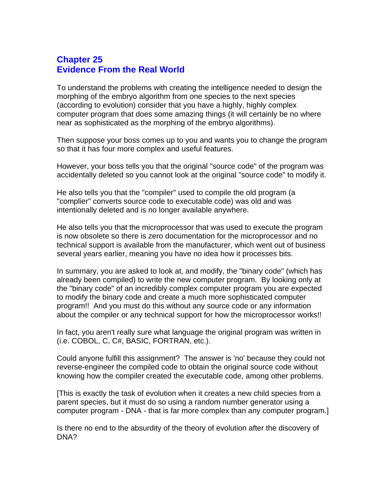#### **Chapter 25 Evidence From the Real World**

To understand the problems with creating the intelligence needed to design the morphing of the embryo algorithm from one species to the next species (according to evolution) consider that you have a highly, highly complex computer program that does some amazing things (it will certainly be no where near as sophisticated as the morphing of the embryo algorithms).

Then suppose your boss comes up to you and wants you to change the program so that it has four more complex and useful features.

However, your boss tells you that the original "source code" of the program was accidentally deleted so you cannot look at the original "source code" to modify it.

He also tells you that the "compiler" used to compile the old program (a "complier" converts source code to executable code) was old and was intentionally deleted and is no longer available anywhere.

He also tells you that the microprocessor that was used to execute the program is now obsolete so there is zero documentation for the microprocessor and no technical support is available from the manufacturer, which went out of business several years earlier, meaning you have no idea how it processes bits.

In summary, you are asked to look at, and modify, the "binary code" (which has already been compiled) to write the new computer program. By looking only at the "binary code" of an incredibly complex computer program you are expected to modify the binary code and create a much more sophisticated computer program!! And you must do this without any source code or any information about the compiler or any technical support for how the microprocessor works!!

In fact, you aren't really sure what language the original program was written in (i.e. COBOL, C, C#, BASIC, FORTRAN, etc.).

Could anyone fulfill this assignment? The answer is 'no' because they could not reverse-engineer the compiled code to obtain the original source code without knowing how the compiler created the executable code, among other problems.

[This is exactly the task of evolution when it creates a new child species from a parent species, but it must do so using a random number generator using a computer program - DNA - that is far more complex than any computer program.]

Is there no end to the absurdity of the theory of evolution after the discovery of DNA?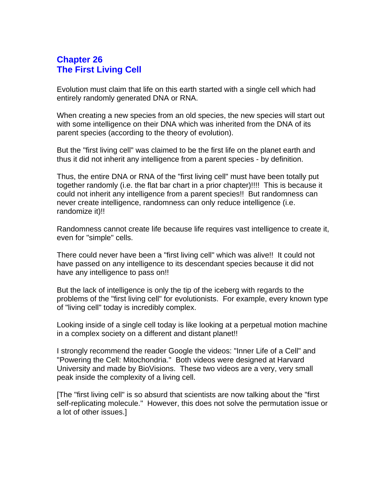## **Chapter 26 The First Living Cell**

Evolution must claim that life on this earth started with a single cell which had entirely randomly generated DNA or RNA.

When creating a new species from an old species, the new species will start out with some intelligence on their DNA which was inherited from the DNA of its parent species (according to the theory of evolution).

But the "first living cell" was claimed to be the first life on the planet earth and thus it did not inherit any intelligence from a parent species - by definition.

Thus, the entire DNA or RNA of the "first living cell" must have been totally put together randomly (i.e. the flat bar chart in a prior chapter)!!!! This is because it could not inherit any intelligence from a parent species!! But randomness can never create intelligence, randomness can only reduce intelligence (i.e. randomize it)!!

Randomness cannot create life because life requires vast intelligence to create it, even for "simple" cells.

There could never have been a "first living cell" which was alive!! It could not have passed on any intelligence to its descendant species because it did not have any intelligence to pass on!!

But the lack of intelligence is only the tip of the iceberg with regards to the problems of the "first living cell" for evolutionists. For example, every known type of "living cell" today is incredibly complex.

Looking inside of a single cell today is like looking at a perpetual motion machine in a complex society on a different and distant planet!!

I strongly recommend the reader Google the videos: "Inner Life of a Cell" and "Powering the Cell: Mitochondria." Both videos were designed at Harvard University and made by BioVisions. These two videos are a very, very small peak inside the complexity of a living cell.

[The "first living cell" is so absurd that scientists are now talking about the "first self-replicating molecule." However, this does not solve the permutation issue or a lot of other issues.]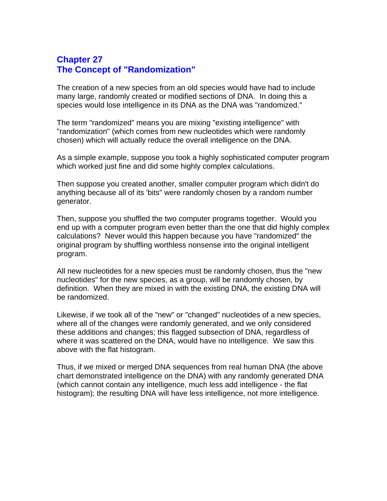#### **Chapter 27 The Concept of "Randomization"**

The creation of a new species from an old species would have had to include many large, randomly created or modified sections of DNA. In doing this a species would lose intelligence in its DNA as the DNA was "randomized."

The term "randomized" means you are mixing "existing intelligence" with "randomization" (which comes from new nucleotides which were randomly chosen) which will actually reduce the overall intelligence on the DNA.

As a simple example, suppose you took a highly sophisticated computer program which worked just fine and did some highly complex calculations.

Then suppose you created another, smaller computer program which didn't do anything because all of its 'bits" were randomly chosen by a random number generator.

Then, suppose you shuffled the two computer programs together. Would you end up with a computer program even better than the one that did highly complex calculations? Never would this happen because you have "randomized" the original program by shuffling worthless nonsense into the original intelligent program.

All new nucleotides for a new species must be randomly chosen, thus the "new nucleotides" for the new species, as a group, will be randomly chosen, by definition. When they are mixed in with the existing DNA, the existing DNA will be randomized.

Likewise, if we took all of the "new" or "changed" nucleotides of a new species, where all of the changes were randomly generated, and we only considered these additions and changes; this flagged subsection of DNA, regardless of where it was scattered on the DNA, would have no intelligence. We saw this above with the flat histogram.

Thus, if we mixed or merged DNA sequences from real human DNA (the above chart demonstrated intelligence on the DNA) with any randomly generated DNA (which cannot contain any intelligence, much less add intelligence - the flat histogram); the resulting DNA will have less intelligence, not more intelligence.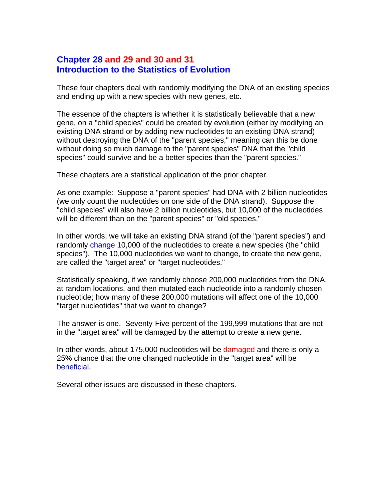#### **Chapter 28 and 29 and 30 and 31 Introduction to the Statistics of Evolution**

These four chapters deal with randomly modifying the DNA of an existing species and ending up with a new species with new genes, etc.

The essence of the chapters is whether it is statistically believable that a new gene, on a "child species" could be created by evolution (either by modifying an existing DNA strand or by adding new nucleotides to an existing DNA strand) without destroying the DNA of the "parent species," meaning can this be done without doing so much damage to the "parent species" DNA that the "child species" could survive and be a better species than the "parent species."

These chapters are a statistical application of the prior chapter.

As one example: Suppose a "parent species" had DNA with 2 billion nucleotides (we only count the nucleotides on one side of the DNA strand). Suppose the "child species" will also have 2 billion nucleotides, but 10,000 of the nucleotides will be different than on the "parent species" or "old species."

In other words, we will take an existing DNA strand (of the "parent species") and randomly change 10,000 of the nucleotides to create a new species (the "child species"). The 10,000 nucleotides we want to change, to create the new gene, are called the "target area" or "target nucleotides."

Statistically speaking, if we randomly choose 200,000 nucleotides from the DNA, at random locations, and then mutated each nucleotide into a randomly chosen nucleotide; how many of these 200,000 mutations will affect one of the 10,000 "target nucleotides" that we want to change?

The answer is one. Seventy-Five percent of the 199,999 mutations that are not in the "target area" will be damaged by the attempt to create a new gene.

In other words, about 175,000 nucleotides will be damaged and there is only a 25% chance that the one changed nucleotide in the "target area" will be beneficial.

Several other issues are discussed in these chapters.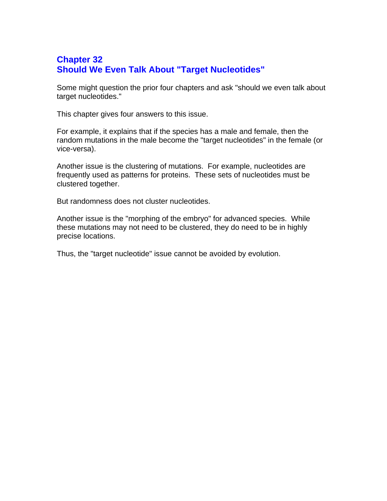# **Chapter 32 Should We Even Talk About "Target Nucleotides"**

Some might question the prior four chapters and ask "should we even talk about target nucleotides."

This chapter gives four answers to this issue.

For example, it explains that if the species has a male and female, then the random mutations in the male become the "target nucleotides" in the female (or vice-versa).

Another issue is the clustering of mutations. For example, nucleotides are frequently used as patterns for proteins. These sets of nucleotides must be clustered together.

But randomness does not cluster nucleotides.

Another issue is the "morphing of the embryo" for advanced species. While these mutations may not need to be clustered, they do need to be in highly precise locations.

Thus, the "target nucleotide" issue cannot be avoided by evolution.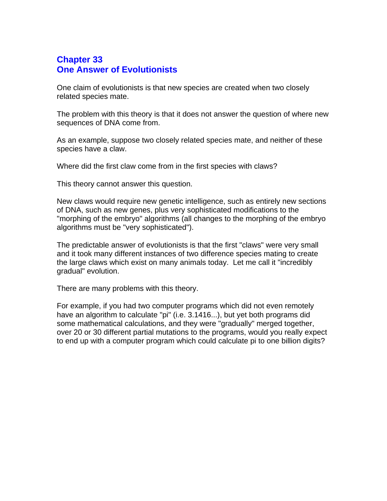# **Chapter 33 One Answer of Evolutionists**

One claim of evolutionists is that new species are created when two closely related species mate.

The problem with this theory is that it does not answer the question of where new sequences of DNA come from.

As an example, suppose two closely related species mate, and neither of these species have a claw.

Where did the first claw come from in the first species with claws?

This theory cannot answer this question.

New claws would require new genetic intelligence, such as entirely new sections of DNA, such as new genes, plus very sophisticated modifications to the "morphing of the embryo" algorithms (all changes to the morphing of the embryo algorithms must be "very sophisticated").

The predictable answer of evolutionists is that the first "claws" were very small and it took many different instances of two difference species mating to create the large claws which exist on many animals today. Let me call it "incredibly gradual" evolution.

There are many problems with this theory.

For example, if you had two computer programs which did not even remotely have an algorithm to calculate "pi" (i.e. 3.1416...), but yet both programs did some mathematical calculations, and they were "gradually" merged together, over 20 or 30 different partial mutations to the programs, would you really expect to end up with a computer program which could calculate pi to one billion digits?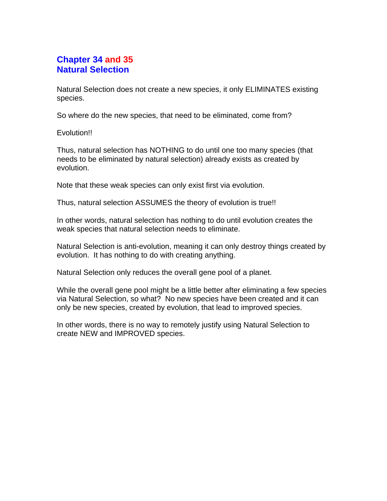## **Chapter 34 and 35 Natural Selection**

Natural Selection does not create a new species, it only ELIMINATES existing species.

So where do the new species, that need to be eliminated, come from?

Evolution!!

Thus, natural selection has NOTHING to do until one too many species (that needs to be eliminated by natural selection) already exists as created by evolution.

Note that these weak species can only exist first via evolution.

Thus, natural selection ASSUMES the theory of evolution is true!!

In other words, natural selection has nothing to do until evolution creates the weak species that natural selection needs to eliminate.

Natural Selection is anti-evolution, meaning it can only destroy things created by evolution. It has nothing to do with creating anything.

Natural Selection only reduces the overall gene pool of a planet.

While the overall gene pool might be a little better after eliminating a few species via Natural Selection, so what? No new species have been created and it can only be new species, created by evolution, that lead to improved species.

In other words, there is no way to remotely justify using Natural Selection to create NEW and IMPROVED species.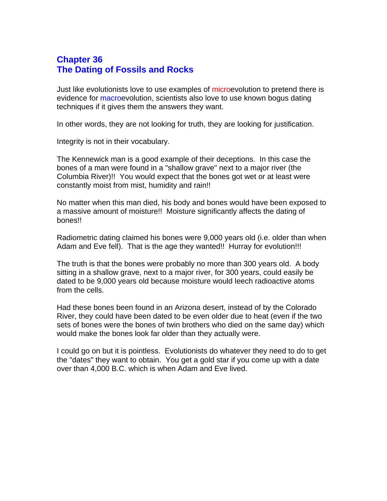## **Chapter 36 The Dating of Fossils and Rocks**

Just like evolutionists love to use examples of microevolution to pretend there is evidence for macroevolution, scientists also love to use known bogus dating techniques if it gives them the answers they want.

In other words, they are not looking for truth, they are looking for justification.

Integrity is not in their vocabulary.

The Kennewick man is a good example of their deceptions. In this case the bones of a man were found in a "shallow grave" next to a major river (the Columbia River)!! You would expect that the bones got wet or at least were constantly moist from mist, humidity and rain!!

No matter when this man died, his body and bones would have been exposed to a massive amount of moisture!! Moisture significantly affects the dating of bones!!

Radiometric dating claimed his bones were 9,000 years old (i.e. older than when Adam and Eve fell). That is the age they wanted!! Hurray for evolution!!!

The truth is that the bones were probably no more than 300 years old. A body sitting in a shallow grave, next to a major river, for 300 years, could easily be dated to be 9,000 years old because moisture would leech radioactive atoms from the cells.

Had these bones been found in an Arizona desert, instead of by the Colorado River, they could have been dated to be even older due to heat (even if the two sets of bones were the bones of twin brothers who died on the same day) which would make the bones look far older than they actually were.

I could go on but it is pointless. Evolutionists do whatever they need to do to get the "dates" they want to obtain. You get a gold star if you come up with a date over than 4,000 B.C. which is when Adam and Eve lived.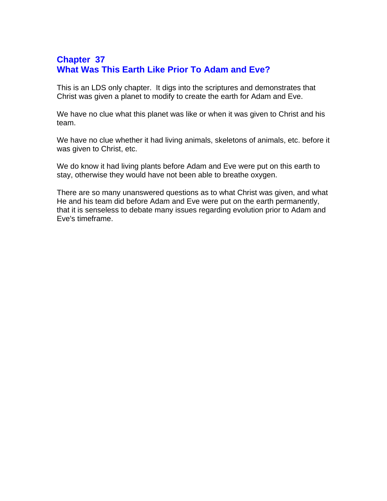# **Chapter 37 What Was This Earth Like Prior To Adam and Eve?**

This is an LDS only chapter. It digs into the scriptures and demonstrates that Christ was given a planet to modify to create the earth for Adam and Eve.

We have no clue what this planet was like or when it was given to Christ and his team.

We have no clue whether it had living animals, skeletons of animals, etc. before it was given to Christ, etc.

We do know it had living plants before Adam and Eve were put on this earth to stay, otherwise they would have not been able to breathe oxygen.

There are so many unanswered questions as to what Christ was given, and what He and his team did before Adam and Eve were put on the earth permanently, that it is senseless to debate many issues regarding evolution prior to Adam and Eve's timeframe.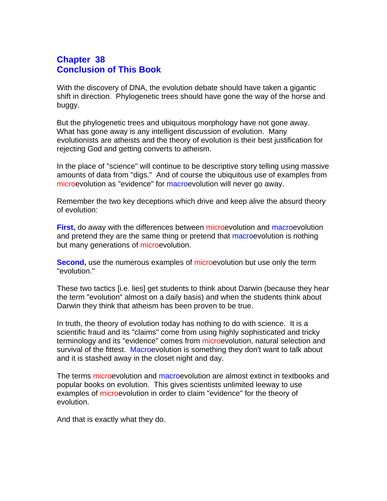#### **Chapter 38 Conclusion of This Book**

With the discovery of DNA, the evolution debate should have taken a gigantic shift in direction. Phylogenetic trees should have gone the way of the horse and buggy.

But the phylogenetic trees and ubiquitous morphology have not gone away. What has gone away is any intelligent discussion of evolution. Many evolutionists are atheists and the theory of evolution is their best justification for rejecting God and getting converts to atheism.

In the place of "science" will continue to be descriptive story telling using massive amounts of data from "digs." And of course the ubiquitous use of examples from microevolution as "evidence" for macroevolution will never go away.

Remember the two key deceptions which drive and keep alive the absurd theory of evolution:

**First,** do away with the differences between microevolution and macroevolution and pretend they are the same thing or pretend that macroevolution is nothing but many generations of microevolution.

**Second,** use the numerous examples of microevolution but use only the term "evolution."

These two tactics [i.e. lies] get students to think about Darwin (because they hear the term "evolution" almost on a daily basis) and when the students think about Darwin they think that atheism has been proven to be true.

In truth, the theory of evolution today has nothing to do with science. It is a scientific fraud and its "claims" come from using highly sophisticated and tricky terminology and its "evidence" comes from microevolution, natural selection and survival of the fittest. Macroevolution is something they don't want to talk about and it is stashed away in the closet night and day.

The terms microevolution and macroevolution are almost extinct in textbooks and popular books on evolution. This gives scientists unlimited leeway to use examples of microevolution in order to claim "evidence" for the theory of evolution.

And that is exactly what they do.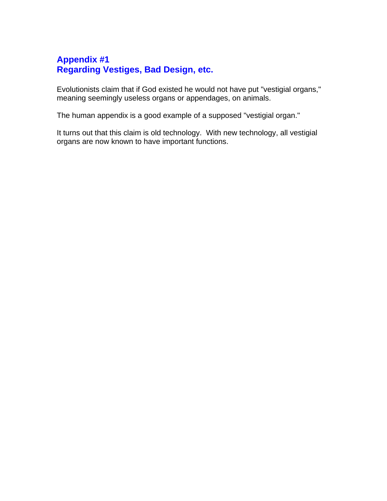# **Appendix #1 Regarding Vestiges, Bad Design, etc.**

Evolutionists claim that if God existed he would not have put "vestigial organs," meaning seemingly useless organs or appendages, on animals.

The human appendix is a good example of a supposed "vestigial organ."

It turns out that this claim is old technology. With new technology, all vestigial organs are now known to have important functions.